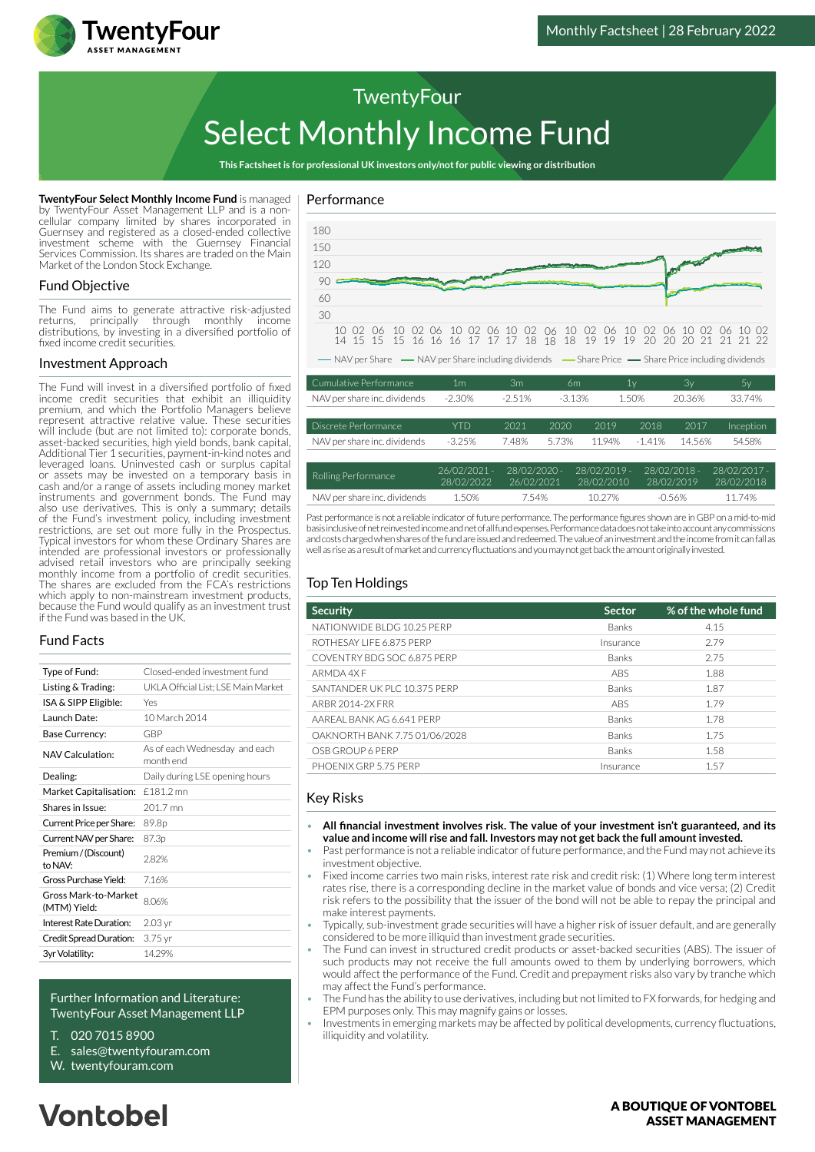

# Select Monthly Income Fund **TwentyFour**

**This Factsheet is for professional UK investors only/not for public viewing or distribution**

**TwentyFour Select Monthly Income Fund** is managed by TwentyFour Asset Management LLP and is a noncellular company limited by shares incorporated in Guernsey and registered as a closed-ended collective investment scheme with the Guernsey Financial Services Commission. Its shares are traded on the Main Market of the London Stock Exchange.

#### Fund Objective

The Fund aims to generate attractive risk-adjusted returns, principally through monthly income distributions, by investing in a diversified portfolio of fixed income credit securities.

#### Investment Approach

The Fund will invest in a diversified portfolio of fixed income credit securities that exhibit an illiquidity premium, and which the Portfolio Managers believe represent attractive relative value. These securities will include (but are not limited to): corporate bonds, asset-backed securities, high yield bonds, bank capital, Additional Tier 1 securities, payment-in-kind notes and leveraged loans. Uninvested cash or surplus capital or assets may be invested on a temporary basis in cash and/or a range of assets including money market instruments and government bonds. The Fund may also use derivatives. This is only a summary; details of the Fund's investment policy, including investment restrictions, are set out more fully in the Prospectus. Typical investors for whom these Ordinary Shares are intended are professional investors or professionally advised retail investors who are principally seeking monthly income from a portfolio of credit securities. The shares are excluded from the FCA's restrictions which apply to non-mainstream investment products. because the Fund would qualify as an investment trust if the Fund was based in the UK.

#### Fund Facts

| Type of Fund:                        | Closed-ended investment fund               |  |  |
|--------------------------------------|--------------------------------------------|--|--|
| Listing & Trading:                   | UKLA Official List: LSE Main Market        |  |  |
| ISA & SIPP Eligible:                 | Yes                                        |  |  |
| Launch Date:                         | 10 March 2014                              |  |  |
| Base Currency:                       | GBP                                        |  |  |
| NAV Calculation:                     | As of each Wednesday and each<br>month end |  |  |
| Dealing:                             | Daily during LSE opening hours             |  |  |
| Market Capitalisation:               | £181.2 mn                                  |  |  |
| Shares in Issue:                     | 201.7 mn                                   |  |  |
| Current Price per Share:             | 89.8 <sub>p</sub>                          |  |  |
| Current NAV per Share:               | 87.3p                                      |  |  |
| Premium / (Discount)<br>to NAV:      | 282%                                       |  |  |
| Gross Purchase Yield:                | 716%                                       |  |  |
| Gross Mark-to-Market<br>(MTM) Yield: | 8.06%                                      |  |  |
| Interest Rate Duration:              | 2.03 yr                                    |  |  |
| Credit Spread Duration:              | $3.75$ yr                                  |  |  |
| 3yr Volatility:                      | 14.29%                                     |  |  |
|                                      |                                            |  |  |

#### Further Information and Literature: TwentyFour Asset Management LLP

- T. 020 7015 8900
- E. sales@twentyfouram.com
- W. [twentyfouram.com](http://www.twentyfouram.com)

### Performance



Past performance is not a reliable indicator of future performance. The performance figures shown are in GBP on a mid-to-mid basis inclusive of net reinvested income and net of all fund expenses. Performance data does not take into account any commissions and costs charged when shares of the fund are issued and redeemed. The value of an investment and the income from it can fall as well as rise as a result of market and currency fluctuations and you may not get back the amount originally invested.

NAV per share inc. dividends 1.50% 7.54% 10.27% -0.56% 11.74%

#### Top Ten Holdings

| <b>Security</b>               | <b>Sector</b> | % of the whole fund |
|-------------------------------|---------------|---------------------|
| NATIONWIDE BLDG 10.25 PERP    | <b>Banks</b>  | 4.15                |
| ROTHESAY LIFE 6.875 PERP      | Insurance     | 279                 |
| COVENTRY BDG SOC 6.875 PERP   | Banks         | 2.75                |
| ARMDA 4X F                    | <b>ABS</b>    | 1.88                |
| SANTANDER UK PLC 10.375 PERP  | <b>Banks</b>  | 1.87                |
| ARBR 2014-2X FRR              | <b>ABS</b>    | 1.79                |
| AAREAL BANK AG 6.641 PERP     | Banks         | 1.78                |
| OAKNORTH BANK 7.75 01/06/2028 | <b>Banks</b>  | 1.75                |
| OSB GROUP 6 PERP              | Banks         | 1.58                |
| PHOFNIX GRP 5.75 PFRP         | Insurance     | 1.57                |

#### Key Risks

- **All financial investment involves risk. The value of your investment isn't guaranteed, and its value and income will rise and fall. Investors may not get back the full amount invested.**
- Past performance is not a reliable indicator of future performance, and the Fund may not achieve its investment objective.
- Fixed income carries two main risks, interest rate risk and credit risk: (1) Where long term interest rates rise, there is a corresponding decline in the market value of bonds and vice versa; (2) Credit risk refers to the possibility that the issuer of the bond will not be able to repay the principal and make interest payments.
- Typically, sub-investment grade securities will have a higher risk of issuer default, and are generally considered to be more illiquid than investment grade securities.
- The Fund can invest in structured credit products or asset-backed securities (ABS). The issuer of such products may not receive the full amounts owed to them by underlying borrowers, which would affect the performance of the Fund. Credit and prepayment risks also vary by tranche which may affect the Fund's performance.
- The Fund has the ability to use derivatives, including but not limited to FX forwards, for hedging and EPM purposes only. This may magnify gains or losses.
- Investments in emerging markets may be affected by political developments, currency fluctuations, illiquidity and volatility.

#### A BOUTIOUE OF VONTOBEL **ASSET MANAGEMENT**

## **Vontobel**